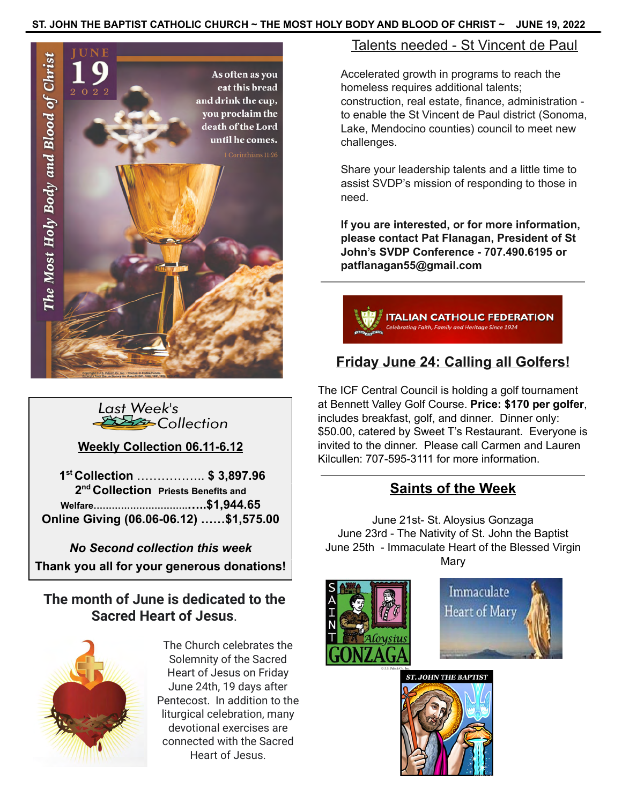### **ST. JOHN THE BAPTIST CATHOLIC CHURCH ~ THE MOST HOLY BODY AND BLOOD OF CHRIST ~ JUNE 19, 2022**





**Weekly Collection 06.11-6.12**

**1 st Collection** …………….. **\$ 3,897.96 2 nd Collection Priests Benefits and Welfare………………………….…..\$1,944.65 Online Giving (06.06-06.12) ……\$1,575.00**

*No Second collection this week* **Thank you all for your generous donations!**

## **The month of June is dedicated to the Sacred Heart of Jesus**.



The Church celebrates the Solemnity of the Sacred Heart of Jesus on Friday June 24th, 19 days after Pentecost. In addition to the liturgical celebration, many devotional exercises are connected with the Sacred Heart of Jesus.

### Talents needed - St Vincent de Paul

Accelerated growth in programs to reach the homeless requires additional talents; construction, real estate, finance, administration to enable the St Vincent de Paul district (Sonoma, Lake, Mendocino counties) council to meet new challenges.

Share your leadership talents and a little time to assist SVDP's mission of responding to those in need.

**If you are interested, or for more information, please contact Pat Flanagan, President of St John's SVDP Conference - 707.490.6195 or patflanagan55@gmail.com**



# **Friday June 24: Calling all Golfers!**

The ICF Central Council is holding a golf tournament at Bennett Valley Golf Course. **Price: \$170 per golfer**, includes breakfast, golf, and dinner. Dinner only: \$50.00, catered by Sweet T's Restaurant. Everyone is invited to the dinner. Please call Carmen and Lauren Kilcullen: 707-595-3111 for more information.

## **Saints of the Week**

June 21st- St. Aloysius Gonzaga June 23rd - The Nativity of St. John the Baptist June 25th - Immaculate Heart of the Blessed Virgin **Mary**